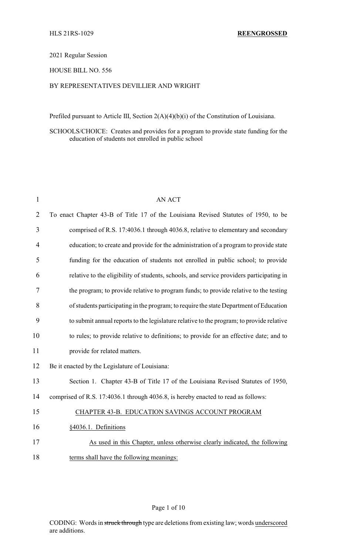#### 2021 Regular Session

### HOUSE BILL NO. 556

### BY REPRESENTATIVES DEVILLIER AND WRIGHT

Prefiled pursuant to Article III, Section 2(A)(4)(b)(i) of the Constitution of Louisiana.

# SCHOOLS/CHOICE: Creates and provides for a program to provide state funding for the education of students not enrolled in public school

| $\mathbf{1}$   | <b>AN ACT</b>                                                                            |
|----------------|------------------------------------------------------------------------------------------|
| $\overline{2}$ | To enact Chapter 43-B of Title 17 of the Louisiana Revised Statutes of 1950, to be       |
| 3              | comprised of R.S. 17:4036.1 through 4036.8, relative to elementary and secondary         |
| 4              | education; to create and provide for the administration of a program to provide state    |
| 5              | funding for the education of students not enrolled in public school; to provide          |
| 6              | relative to the eligibility of students, schools, and service providers participating in |
| 7              | the program; to provide relative to program funds; to provide relative to the testing    |
| 8              | of students participating in the program; to require the state Department of Education   |
| 9              | to submit annual reports to the legislature relative to the program; to provide relative |
| 10             | to rules; to provide relative to definitions; to provide for an effective date; and to   |
| 11             | provide for related matters.                                                             |
| 12             | Be it enacted by the Legislature of Louisiana:                                           |
| 13             | Section 1. Chapter 43-B of Title 17 of the Louisiana Revised Statutes of 1950,           |
| 14             | comprised of R.S. 17:4036.1 through 4036.8, is hereby enacted to read as follows:        |
| 15             | CHAPTER 43-B. EDUCATION SAVINGS ACCOUNT PROGRAM                                          |
| 16             | §4036.1. Definitions                                                                     |
| 17             | As used in this Chapter, unless otherwise clearly indicated, the following               |
| 18             | terms shall have the following meanings:                                                 |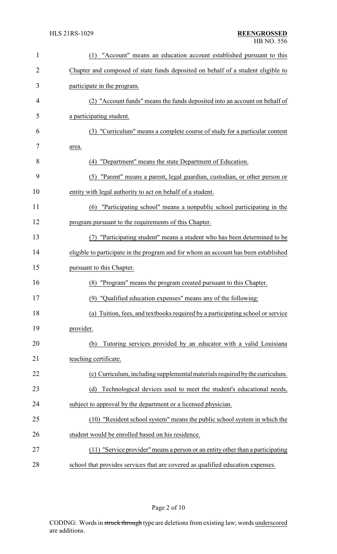| $\mathbf{1}$   | "Account" means an education account established pursuant to this<br>(1)            |
|----------------|-------------------------------------------------------------------------------------|
| $\overline{2}$ | Chapter and composed of state funds deposited on behalf of a student eligible to    |
| 3              | participate in the program.                                                         |
| 4              | (2) "Account funds" means the funds deposited into an account on behalf of          |
| 5              | a participating student.                                                            |
| 6              | (3) "Curriculum" means a complete course of study for a particular content          |
| 7              | area.                                                                               |
| 8              | (4) "Department" means the state Department of Education.                           |
| 9              | (5) "Parent" means a parent, legal guardian, custodian, or other person or          |
| 10             | entity with legal authority to act on behalf of a student.                          |
| 11             | "Participating school" means a nonpublic school participating in the<br>(6)         |
| 12             | program pursuant to the requirements of this Chapter.                               |
| 13             | "Participating student" means a student who has been determined to be<br>(7)        |
| 14             | eligible to participate in the program and for whom an account has been established |
| 15             | pursuant to this Chapter.                                                           |
| 16             | (8) "Program" means the program created pursuant to this Chapter.                   |
| 17             | (9) "Qualified education expenses" means any of the following:                      |
| 18             | Tuition, fees, and textbooks required by a participating school or service<br>(a)   |
| 19             | provider.                                                                           |
| 20             | Tutoring services provided by an educator with a valid Louisiana<br>(b)             |
| 21             | teaching certificate.                                                               |
| 22             | (c) Curriculum, including supplemental materials required by the curriculum.        |
|                | Technological devices used to meet the student's educational needs,<br>(d)          |
| 23             | subject to approval by the department or a licensed physician.                      |
| 24             | (10) "Resident school system" means the public school system in which the           |
| 25             |                                                                                     |
| 26             | student would be enrolled based on his residence.                                   |
| 27             | (11) "Service provider" means a person or an entity other than a participating      |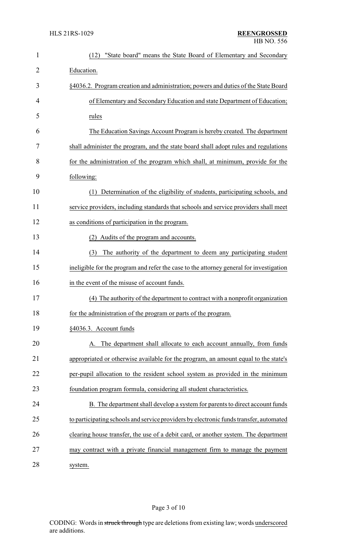| $\mathbf{1}$   | "State board" means the State Board of Elementary and Secondary<br>(12)                 |
|----------------|-----------------------------------------------------------------------------------------|
| $\overline{2}$ | Education.                                                                              |
| 3              | §4036.2. Program creation and administration; powers and duties of the State Board      |
| 4              | of Elementary and Secondary Education and state Department of Education;                |
| 5              | rules                                                                                   |
| 6              | The Education Savings Account Program is hereby created. The department                 |
| 7              | shall administer the program, and the state board shall adopt rules and regulations     |
| 8              | for the administration of the program which shall, at minimum, provide for the          |
| 9              | following:                                                                              |
| 10             | Determination of the eligibility of students, participating schools, and<br>(1)         |
| 11             | service providers, including standards that schools and service providers shall meet    |
| 12             | as conditions of participation in the program.                                          |
| 13             | (2) Audits of the program and accounts.                                                 |
| 14             | The authority of the department to deem any participating student<br>(3)                |
| 15             | ineligible for the program and refer the case to the attorney general for investigation |
| 16             | in the event of the misuse of account funds.                                            |
| 17             | (4) The authority of the department to contract with a nonprofit organization           |
| 18             | for the administration of the program or parts of the program.                          |
| 19             | §4036.3. Account funds                                                                  |
| 20             | The department shall allocate to each account annually, from funds<br>А.                |
| 21             | appropriated or otherwise available for the program, an amount equal to the state's     |
| 22             | per-pupil allocation to the resident school system as provided in the minimum           |
| 23             | foundation program formula, considering all student characteristics.                    |
| 24             | B. The department shall develop a system for parents to direct account funds            |
| 25             | to participating schools and service providers by electronic funds transfer, automated  |
| 26             | clearing house transfer, the use of a debit card, or another system. The department     |
| 27             | may contract with a private financial management firm to manage the payment             |
| 28             | system.                                                                                 |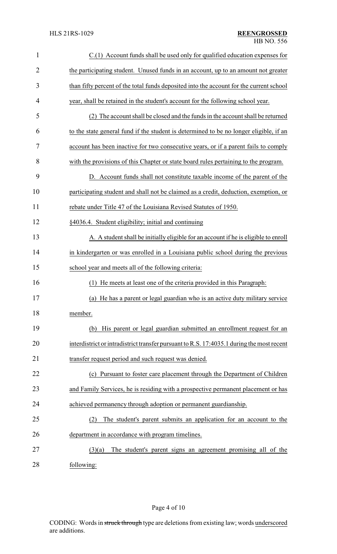| $\mathbf{1}$   | C.(1) Account funds shall be used only for qualified education expenses for               |
|----------------|-------------------------------------------------------------------------------------------|
| $\overline{2}$ | the participating student. Unused funds in an account, up to an amount not greater        |
| 3              | than fifty percent of the total funds deposited into the account for the current school   |
| 4              | year, shall be retained in the student's account for the following school year.           |
| 5              | The account shall be closed and the funds in the account shall be returned                |
| 6              | to the state general fund if the student is determined to be no longer eligible, if an    |
| 7              | account has been inactive for two consecutive years, or if a parent fails to comply       |
| 8              | with the provisions of this Chapter or state board rules pertaining to the program.       |
| 9              | D. Account funds shall not constitute taxable income of the parent of the                 |
| 10             | participating student and shall not be claimed as a credit, deduction, exemption, or      |
| 11             | rebate under Title 47 of the Louisiana Revised Statutes of 1950.                          |
| 12             | §4036.4. Student eligibility; initial and continuing                                      |
| 13             | A. A student shall be initially eligible for an account if he is eligible to enroll       |
| 14             | in kindergarten or was enrolled in a Louisiana public school during the previous          |
| 15             | school year and meets all of the following criteria:                                      |
| 16             | (1) He meets at least one of the criteria provided in this Paragraph:                     |
| 17             | (a) He has a parent or legal guardian who is an active duty military service              |
| 18             | member.                                                                                   |
| 19             | His parent or legal guardian submitted an enrollment request for an<br>(b)                |
| 20             | interdistrict or intradistrict transfer pursuant to R.S. 17:4035.1 during the most recent |
| 21             | transfer request period and such request was denied.                                      |
| 22             | (c) Pursuant to foster care placement through the Department of Children                  |
| 23             | and Family Services, he is residing with a prospective permanent placement or has         |
| 24             | achieved permanency through adoption or permanent guardianship.                           |
| 25             | The student's parent submits an application for an account to the<br>(2)                  |
| 26             | department in accordance with program timelines.                                          |
| 27             | The student's parent signs an agreement promising all of the<br>(3)(a)                    |
| 28             | following:                                                                                |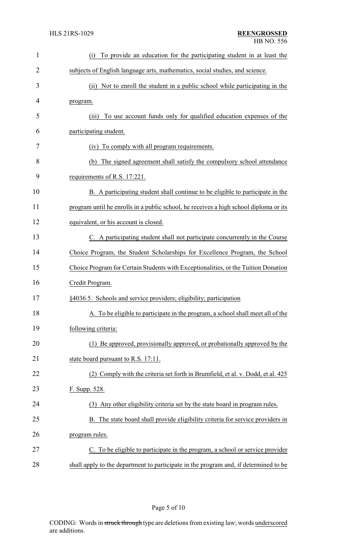| $\mathbf{1}$ | To provide an education for the participating student in at least the<br>(i)          |
|--------------|---------------------------------------------------------------------------------------|
| 2            | subjects of English language arts, mathematics, social studies, and science.          |
| 3            | Not to enroll the student in a public school while participating in the<br>(ii)       |
| 4            | program.                                                                              |
| 5            | To use account funds only for qualified education expenses of the<br>(iii)            |
| 6            | participating student.                                                                |
| 7            | To comply with all program requirements.<br>(iv)                                      |
| 8            | The signed agreement shall satisfy the compulsory school attendance<br>(b)            |
| 9            | requirements of R.S. 17:221.                                                          |
| 10           | B. A participating student shall continue to be eligible to participate in the        |
| 11           | program until he enrolls in a public school, he receives a high school diploma or its |
| 12           | equivalent, or his account is closed.                                                 |
| 13           | C. A participating student shall not participate concurrently in the Course           |
| 14           | Choice Program, the Student Scholarships for Excellence Program, the School           |
| 15           | Choice Program for Certain Students with Exceptionalities, or the Tuition Donation    |
| 16           | Credit Program.                                                                       |
| 17           | §4036.5. Schools and service providers; eligibility; participation                    |
| 18           | A. To be eligible to participate in the program, a school shall meet all of the       |
| 19           | following criteria:                                                                   |
| 20           | (1) Be approved, provisionally approved, or probationally approved by the             |
| 21           | state board pursuant to R.S. 17:11.                                                   |
| 22           | (2) Comply with the criteria set forth in Brumfield, et al. v. Dodd, et al. 425       |
| 23           | F. Supp. 528.                                                                         |
| 24           | (3) Any other eligibility criteria set by the state board in program rules.           |
| 25           | B. The state board shall provide eligibility criteria for service providers in        |
| 26           | program rules.                                                                        |
| 27           | C. To be eligible to participate in the program, a school or service provider         |
| 28           | shall apply to the department to participate in the program and, if determined to be  |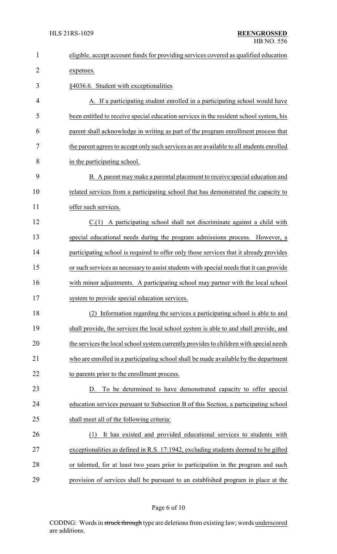| $\mathbf{1}$   | eligible, accept account funds for providing services covered as qualified education     |
|----------------|------------------------------------------------------------------------------------------|
| $\overline{2}$ | expenses.                                                                                |
| 3              | §4036.6. Student with exceptionalities                                                   |
| 4              | A. If a participating student enrolled in a participating school would have              |
| 5              | been entitled to receive special education services in the resident school system, his   |
| 6              | parent shall acknowledge in writing as part of the program enrollment process that       |
| 7              | the parent agrees to accept only such services as are available to all students enrolled |
| 8              | in the participating school.                                                             |
| 9              | B. A parent may make a parental placement to receive special education and               |
| 10             | related services from a participating school that has demonstrated the capacity to       |
| 11             | offer such services.                                                                     |
| 12             | $C(1)$ A participating school shall not discriminate against a child with                |
| 13             | special educational needs during the program admissions process. However, a              |
| 14             | participating school is required to offer only those services that it already provides   |
| 15             | or such services as necessary to assist students with special needs that it can provide  |
| 16             | with minor adjustments. A participating school may partner with the local school         |
| 17             | system to provide special education services.                                            |
| 18             | (2) Information regarding the services a participating school is able to and             |
| 19             | shall provide, the services the local school system is able to and shall provide, and    |
| 20             | the services the local school system currently provides to children with special needs   |
| 21             | who are enrolled in a participating school shall be made available by the department     |
| 22             | to parents prior to the enrollment process.                                              |
| 23             | To be determined to have demonstrated capacity to offer special<br>D.                    |
| 24             | education services pursuant to Subsection B of this Section, a participating school      |
| 25             | shall meet all of the following criteria:                                                |
| 26             | It has existed and provided educational services to students with<br>(1)                 |
| 27             | exceptionalities as defined in R.S. 17:1942, excluding students deemed to be gifted      |
| 28             | or talented, for at least two years prior to participation in the program and such       |
| 29             | provision of services shall be pursuant to an established program in place at the        |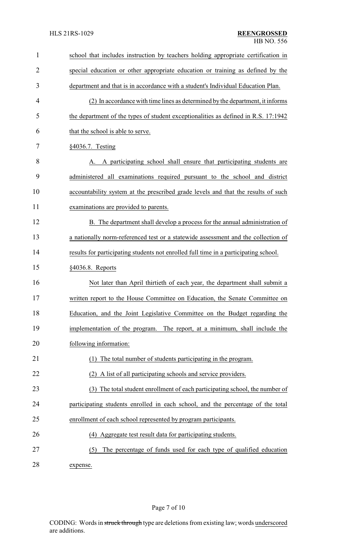| $\mathbf{1}$   | school that includes instruction by teachers holding appropriate certification in    |
|----------------|--------------------------------------------------------------------------------------|
| $\overline{2}$ | special education or other appropriate education or training as defined by the       |
| 3              | department and that is in accordance with a student's Individual Education Plan.     |
| 4              | (2) In accordance with time lines as determined by the department, it informs        |
| 5              | the department of the types of student exceptionalities as defined in R.S. 17:1942   |
| 6              | that the school is able to serve.                                                    |
| 7              | §4036.7. Testing                                                                     |
| 8              | A participating school shall ensure that participating students are                  |
| 9              | administered all examinations required pursuant to the school and district           |
| 10             | accountability system at the prescribed grade levels and that the results of such    |
| 11             | examinations are provided to parents.                                                |
| 12             | B. The department shall develop a process for the annual administration of           |
| 13             | a nationally norm-referenced test or a statewide assessment and the collection of    |
| 14             | results for participating students not enrolled full time in a participating school. |
| 15             | §4036.8. Reports                                                                     |
| 16             | Not later than April thirtieth of each year, the department shall submit a           |
| 17             | written report to the House Committee on Education, the Senate Committee on          |
| 18             | Education, and the Joint Legislative Committee on the Budget regarding the           |
| 19             | implementation of the program. The report, at a minimum, shall include the           |
| 20             | following information:                                                               |
| 21             | The total number of students participating in the program.                           |
| 22             | (2) A list of all participating schools and service providers.                       |
| 23             | (3) The total student enrollment of each participating school, the number of         |
| 24             | participating students enrolled in each school, and the percentage of the total      |
| 25             | enrollment of each school represented by program participants.                       |
| 26             | (4) Aggregate test result data for participating students.                           |
| 27             | The percentage of funds used for each type of qualified education<br>(5)             |
|                |                                                                                      |

28 expense.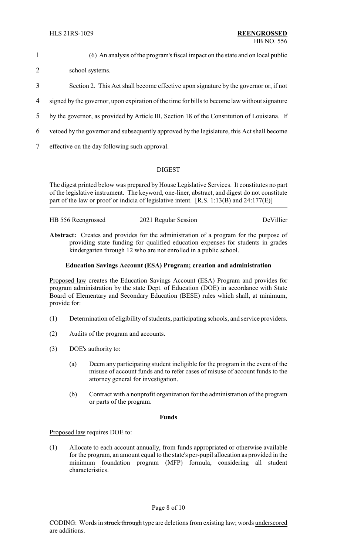| 1 | (6) An analysis of the program's fiscal impact on the state and on local public               |
|---|-----------------------------------------------------------------------------------------------|
| 2 | school systems.                                                                               |
| 3 | Section 2. This Act shall become effective upon signature by the governor or, if not          |
| 4 | signed by the governor, upon expiration of the time for bills to become law without signature |
| 5 | by the governor, as provided by Article III, Section 18 of the Constitution of Louisiana. If  |
| 6 | verticed by the governor and subsequently approved by the legislature, this Act shall become  |
|   |                                                                                               |

7 effective on the day following such approval.

## DIGEST

The digest printed below was prepared by House Legislative Services. It constitutes no part of the legislative instrument. The keyword, one-liner, abstract, and digest do not constitute part of the law or proof or indicia of legislative intent. [R.S. 1:13(B) and 24:177(E)]

| HB 556 Reengrossed | 2021 Regular Session | DeVillier |
|--------------------|----------------------|-----------|
|                    |                      |           |
|                    |                      |           |

**Abstract:** Creates and provides for the administration of a program for the purpose of providing state funding for qualified education expenses for students in grades kindergarten through 12 who are not enrolled in a public school.

## **Education Savings Account (ESA) Program; creation and administration**

Proposed law creates the Education Savings Account (ESA) Program and provides for program administration by the state Dept. of Education (DOE) in accordance with State Board of Elementary and Secondary Education (BESE) rules which shall, at minimum, provide for:

- (1) Determination of eligibility of students, participating schools, and service providers.
- (2) Audits of the program and accounts.
- (3) DOE's authority to:
	- (a) Deem any participating student ineligible for the program in the event of the misuse of account funds and to refer cases of misuse of account funds to the attorney general for investigation.
	- (b) Contract with a nonprofit organization for the administration of the program or parts of the program.

#### **Funds**

Proposed law requires DOE to:

(1) Allocate to each account annually, from funds appropriated or otherwise available for the program, an amount equal to the state's per-pupil allocation as provided in the minimum foundation program (MFP) formula, considering all student characteristics.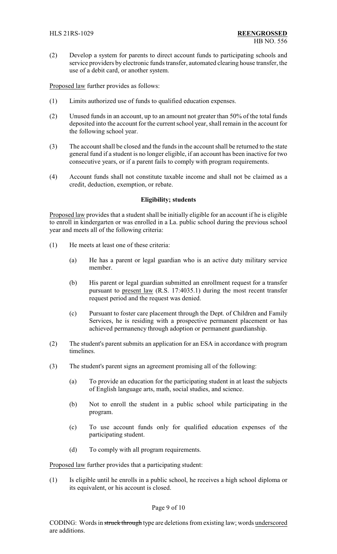(2) Develop a system for parents to direct account funds to participating schools and service providers by electronic funds transfer, automated clearing house transfer, the use of a debit card, or another system.

Proposed law further provides as follows:

- (1) Limits authorized use of funds to qualified education expenses.
- (2) Unused funds in an account, up to an amount not greater than 50% of the total funds deposited into the account for the current school year, shall remain in the account for the following school year.
- (3) The account shall be closed and the funds in the account shall be returned to the state general fund if a student is no longer eligible, if an account has been inactive for two consecutive years, or if a parent fails to comply with program requirements.
- (4) Account funds shall not constitute taxable income and shall not be claimed as a credit, deduction, exemption, or rebate.

#### **Eligibility; students**

Proposed law provides that a student shall be initially eligible for an account if he is eligible to enroll in kindergarten or was enrolled in a La. public school during the previous school year and meets all of the following criteria:

- (1) He meets at least one of these criteria:
	- (a) He has a parent or legal guardian who is an active duty military service member.
	- (b) His parent or legal guardian submitted an enrollment request for a transfer pursuant to present law (R.S. 17:4035.1) during the most recent transfer request period and the request was denied.
	- (c) Pursuant to foster care placement through the Dept. of Children and Family Services, he is residing with a prospective permanent placement or has achieved permanency through adoption or permanent guardianship.
- (2) The student's parent submits an application for an ESA in accordance with program timelines.
- (3) The student's parent signs an agreement promising all of the following:
	- (a) To provide an education for the participating student in at least the subjects of English language arts, math, social studies, and science.
	- (b) Not to enroll the student in a public school while participating in the program.
	- (c) To use account funds only for qualified education expenses of the participating student.
	- (d) To comply with all program requirements.

Proposed law further provides that a participating student:

(1) Is eligible until he enrolls in a public school, he receives a high school diploma or its equivalent, or his account is closed.

#### Page 9 of 10

CODING: Words in struck through type are deletions from existing law; words underscored are additions.